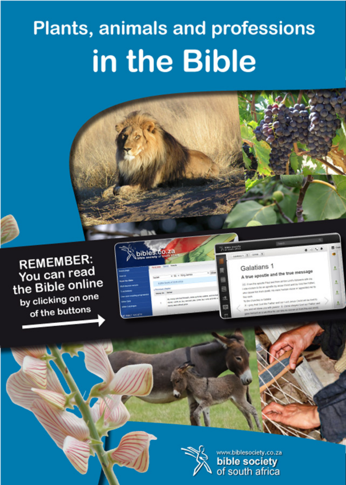# **Plants, animals and professions** in the Bible







on \$1.000 airs appealin thy automotiveness wind by Child than I ent from liniarity plends, may prestry Frantisen interpret and beg

۰



www.biblesociety.co.za bible society<br>of south africa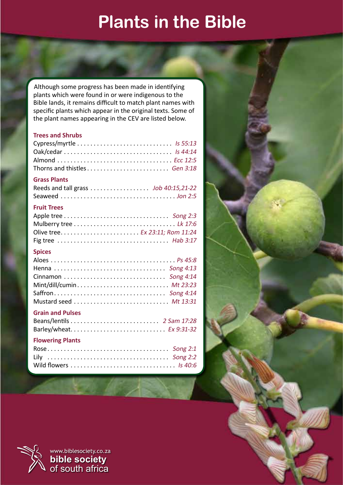# **Plants in the Bible**

Although some progress has been made in identifying plants which were found in or were indigenous to the Bible lands, it remains difficult to match plant names with specific plants which appear in the original texts. Some of the plant names appearing in the CEV are listed below.

#### **Trees and Shrubs**

#### **Grass Plants**

#### **Fruit Trees**

## **Spices**

| Mint/dill/cumin Mt 23:23 |  |
|--------------------------|--|
|                          |  |
| Mustard seed  Mt 13:31   |  |
|                          |  |

## **Grain and Pulses**

| Barley/wheat Ex 9:31-32 |  |
|-------------------------|--|
| <b>Flowering Plants</b> |  |

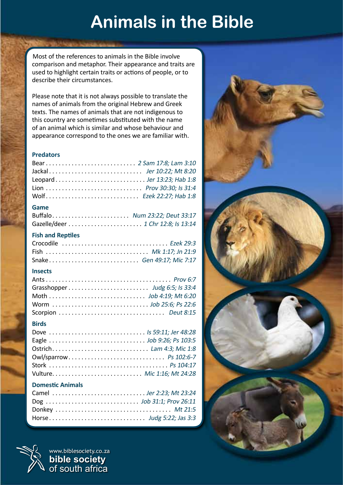# **Animals in the Bible**

Most of the references to animals in the Bible involve comparison and metaphor. Their appearance and traits are used to highlight certain traits or actions of people, or to describe their circumstances.

Please note that it is not always possible to translate the names of animals from the original Hebrew and Greek texts. The names of animals that are not indigenous to this country are sometimes substituted with the name of an animal which is similar and whose behaviour and appearance correspond to the ones we are familiar with.

#### **Predators**

| Lion  Prov 30:30; Is 31:4 |  |
|---------------------------|--|
| Wolf Ezek 22:27; Hab 1:8  |  |

#### **Game**

| Buffalo Num 23:22; Deut 33:17 |  |
|-------------------------------|--|
|                               |  |

#### **Fish and Reptiles**

| Fish  Mk 1:17; Jn 21:9    |  |
|---------------------------|--|
| Snake Gen 49:17; Mic 7:17 |  |

#### **Insects**

#### **Birds**

| Dove  Is 59:11; Jer 48:28 |
|---------------------------|
|                           |
| Ostrich Lam 4:3; Mic 1:8  |
| Owl/sparrow Ps 102:6-7    |
|                           |
|                           |
|                           |

#### **Domestic Animals**